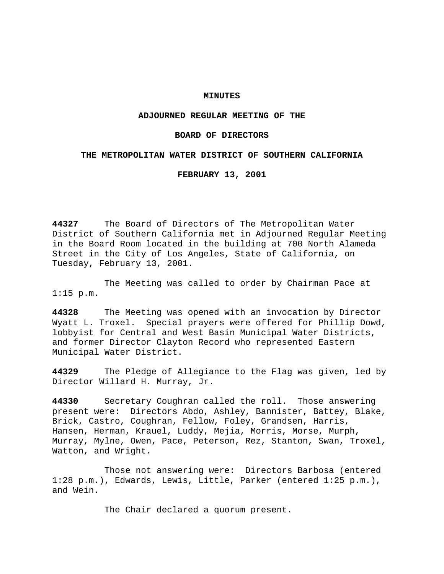## **MINUTES**

# **ADJOURNED REGULAR MEETING OF THE**

## **BOARD OF DIRECTORS**

## **THE METROPOLITAN WATER DISTRICT OF SOUTHERN CALIFORNIA**

**FEBRUARY 13, 2001**

**44327** The Board of Directors of The Metropolitan Water District of Southern California met in Adjourned Regular Meeting in the Board Room located in the building at 700 North Alameda Street in the City of Los Angeles, State of California, on Tuesday, February 13, 2001.

The Meeting was called to order by Chairman Pace at 1:15 p.m.

**44328** The Meeting was opened with an invocation by Director Wyatt L. Troxel. Special prayers were offered for Phillip Dowd, lobbyist for Central and West Basin Municipal Water Districts, and former Director Clayton Record who represented Eastern Municipal Water District.

**44329** The Pledge of Allegiance to the Flag was given, led by Director Willard H. Murray, Jr.

**44330** Secretary Coughran called the roll. Those answering present were: Directors Abdo, Ashley, Bannister, Battey, Blake, Brick, Castro, Coughran, Fellow, Foley, Grandsen, Harris, Hansen, Herman, Krauel, Luddy, Mejia, Morris, Morse, Murph, Murray, Mylne, Owen, Pace, Peterson, Rez, Stanton, Swan, Troxel, Watton, and Wright.

Those not answering were: Directors Barbosa (entered 1:28 p.m.), Edwards, Lewis, Little, Parker (entered 1:25 p.m.), and Wein.

The Chair declared a quorum present.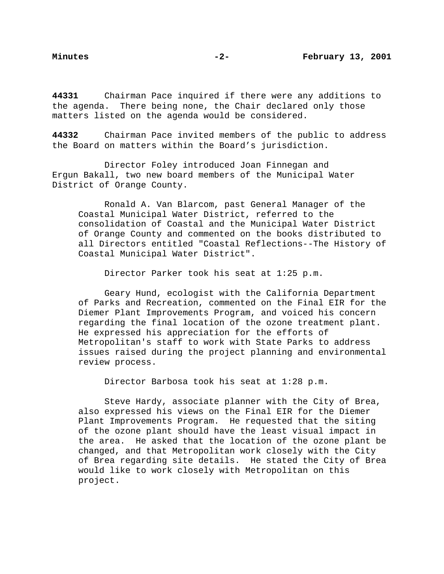**44331** Chairman Pace inquired if there were any additions to the agenda. There being none, the Chair declared only those matters listed on the agenda would be considered.

**44332** Chairman Pace invited members of the public to address the Board on matters within the Board's jurisdiction.

Director Foley introduced Joan Finnegan and Ergun Bakall, two new board members of the Municipal Water District of Orange County.

Ronald A. Van Blarcom, past General Manager of the Coastal Municipal Water District, referred to the consolidation of Coastal and the Municipal Water District of Orange County and commented on the books distributed to all Directors entitled "Coastal Reflections--The History of Coastal Municipal Water District".

Director Parker took his seat at 1:25 p.m.

Geary Hund, ecologist with the California Department of Parks and Recreation, commented on the Final EIR for the Diemer Plant Improvements Program, and voiced his concern regarding the final location of the ozone treatment plant. He expressed his appreciation for the efforts of Metropolitan's staff to work with State Parks to address issues raised during the project planning and environmental review process.

Director Barbosa took his seat at 1:28 p.m.

Steve Hardy, associate planner with the City of Brea, also expressed his views on the Final EIR for the Diemer Plant Improvements Program. He requested that the siting of the ozone plant should have the least visual impact in the area. He asked that the location of the ozone plant be changed, and that Metropolitan work closely with the City of Brea regarding site details. He stated the City of Brea would like to work closely with Metropolitan on this project.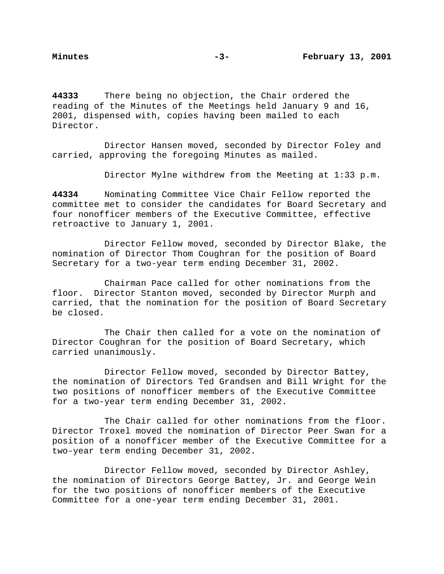**44333** There being no objection, the Chair ordered the reading of the Minutes of the Meetings held January 9 and 16, 2001, dispensed with, copies having been mailed to each Director.

Director Hansen moved, seconded by Director Foley and carried, approving the foregoing Minutes as mailed.

Director Mylne withdrew from the Meeting at 1:33 p.m.

**44334** Nominating Committee Vice Chair Fellow reported the committee met to consider the candidates for Board Secretary and four nonofficer members of the Executive Committee, effective retroactive to January 1, 2001.

Director Fellow moved, seconded by Director Blake, the nomination of Director Thom Coughran for the position of Board Secretary for a two-year term ending December 31, 2002.

Chairman Pace called for other nominations from the floor. Director Stanton moved, seconded by Director Murph and carried, that the nomination for the position of Board Secretary be closed.

The Chair then called for a vote on the nomination of Director Coughran for the position of Board Secretary, which carried unanimously.

Director Fellow moved, seconded by Director Battey, the nomination of Directors Ted Grandsen and Bill Wright for the two positions of nonofficer members of the Executive Committee for a two-year term ending December 31, 2002.

The Chair called for other nominations from the floor. Director Troxel moved the nomination of Director Peer Swan for a position of a nonofficer member of the Executive Committee for a two-year term ending December 31, 2002.

Director Fellow moved, seconded by Director Ashley, the nomination of Directors George Battey, Jr. and George Wein for the two positions of nonofficer members of the Executive Committee for a one-year term ending December 31, 2001.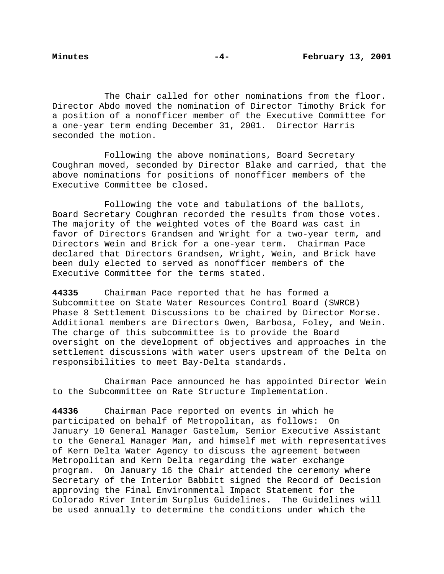The Chair called for other nominations from the floor. Director Abdo moved the nomination of Director Timothy Brick for a position of a nonofficer member of the Executive Committee for a one-year term ending December 31, 2001. Director Harris seconded the motion.

Following the above nominations, Board Secretary Coughran moved, seconded by Director Blake and carried, that the above nominations for positions of nonofficer members of the Executive Committee be closed.

Following the vote and tabulations of the ballots, Board Secretary Coughran recorded the results from those votes. The majority of the weighted votes of the Board was cast in favor of Directors Grandsen and Wright for a two-year term, and Directors Wein and Brick for a one-year term. Chairman Pace declared that Directors Grandsen, Wright, Wein, and Brick have been duly elected to served as nonofficer members of the Executive Committee for the terms stated.

**44335** Chairman Pace reported that he has formed a Subcommittee on State Water Resources Control Board (SWRCB) Phase 8 Settlement Discussions to be chaired by Director Morse. Additional members are Directors Owen, Barbosa, Foley, and Wein. The charge of this subcommittee is to provide the Board oversight on the development of objectives and approaches in the settlement discussions with water users upstream of the Delta on responsibilities to meet Bay-Delta standards.

Chairman Pace announced he has appointed Director Wein to the Subcommittee on Rate Structure Implementation.

**44336** Chairman Pace reported on events in which he participated on behalf of Metropolitan, as follows: On January 10 General Manager Gastelum, Senior Executive Assistant to the General Manager Man, and himself met with representatives of Kern Delta Water Agency to discuss the agreement between Metropolitan and Kern Delta regarding the water exchange program. On January 16 the Chair attended the ceremony where Secretary of the Interior Babbitt signed the Record of Decision approving the Final Environmental Impact Statement for the Colorado River Interim Surplus Guidelines. The Guidelines will be used annually to determine the conditions under which the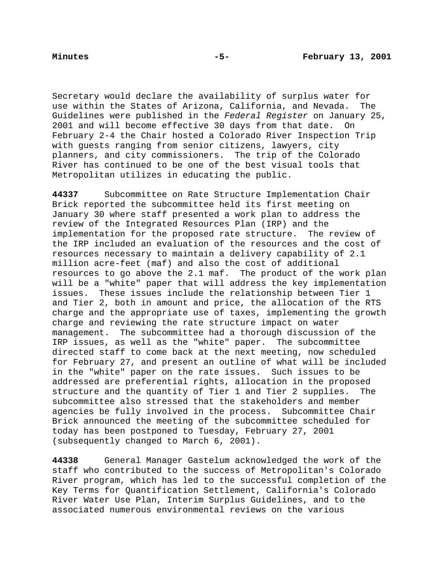Secretary would declare the availability of surplus water for use within the States of Arizona, California, and Nevada. The Guidelines were published in the Federal Register on January 25, 2001 and will become effective 30 days from that date. On February 2-4 the Chair hosted a Colorado River Inspection Trip with guests ranging from senior citizens, lawyers, city planners, and city commissioners. The trip of the Colorado River has continued to be one of the best visual tools that Metropolitan utilizes in educating the public.

**44337** Subcommittee on Rate Structure Implementation Chair Brick reported the subcommittee held its first meeting on January 30 where staff presented a work plan to address the review of the Integrated Resources Plan (IRP) and the implementation for the proposed rate structure. The review of the IRP included an evaluation of the resources and the cost of resources necessary to maintain a delivery capability of 2.1 million acre-feet (maf) and also the cost of additional resources to go above the 2.1 maf. The product of the work plan will be a "white" paper that will address the key implementation issues. These issues include the relationship between Tier 1 and Tier 2, both in amount and price, the allocation of the RTS charge and the appropriate use of taxes, implementing the growth charge and reviewing the rate structure impact on water management. The subcommittee had a thorough discussion of the IRP issues, as well as the "white" paper. The subcommittee directed staff to come back at the next meeting, now scheduled for February 27, and present an outline of what will be included in the "white" paper on the rate issues. Such issues to be addressed are preferential rights, allocation in the proposed structure and the quantity of Tier 1 and Tier 2 supplies. The subcommittee also stressed that the stakeholders and member agencies be fully involved in the process. Subcommittee Chair Brick announced the meeting of the subcommittee scheduled for today has been postponed to Tuesday, February 27, 2001 (subsequently changed to March 6, 2001).

**44338** General Manager Gastelum acknowledged the work of the staff who contributed to the success of Metropolitan's Colorado River program, which has led to the successful completion of the Key Terms for Quantification Settlement, California's Colorado River Water Use Plan, Interim Surplus Guidelines, and to the associated numerous environmental reviews on the various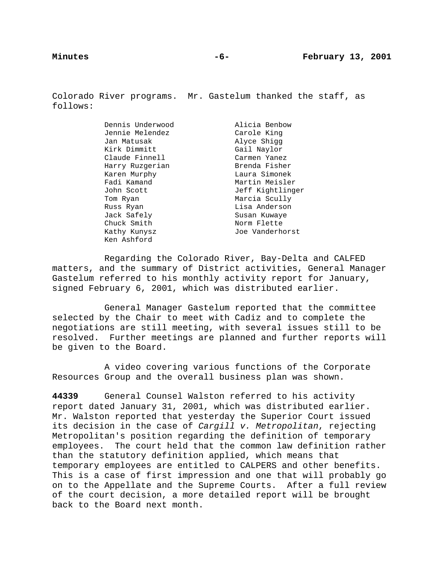Colorado River programs. Mr. Gastelum thanked the staff, as follows:

> Dennis Underwood Alicia Benbow Jennie Melendez Carole King Jan Matusak **Alyce Shigg** Kirk Dimmitt Gail Navlor Claude Finnell Carmen Yanez Harry Ruzgerian Brenda Fisher Karen Murphy **Laura Simonek** Fadi Kamand Martin Meisler John Scott Jeff Kightlinger Tom Ryan Marcia Scully Russ Ryan Lisa Anderson Jack Safely Susan Kuwaye Chuck Smith Norm Flette Kathy Kunysz **Mathy Kunysz** Joe Vanderhorst

Ken Ashford

Regarding the Colorado River, Bay-Delta and CALFED matters, and the summary of District activities, General Manager Gastelum referred to his monthly activity report for January, signed February 6, 2001, which was distributed earlier.

General Manager Gastelum reported that the committee selected by the Chair to meet with Cadiz and to complete the negotiations are still meeting, with several issues still to be resolved. Further meetings are planned and further reports will be given to the Board.

A video covering various functions of the Corporate Resources Group and the overall business plan was shown.

**44339** General Counsel Walston referred to his activity report dated January 31, 2001, which was distributed earlier. Mr. Walston reported that yesterday the Superior Court issued its decision in the case of Cargill v. Metropolitan, rejecting Metropolitan's position regarding the definition of temporary employees. The court held that the common law definition rather than the statutory definition applied, which means that temporary employees are entitled to CALPERS and other benefits. This is a case of first impression and one that will probably go on to the Appellate and the Supreme Courts. After a full review of the court decision, a more detailed report will be brought back to the Board next month.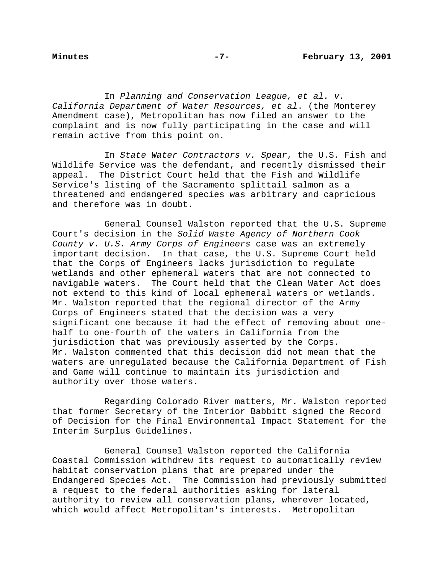In Planning and Conservation League, et al. v. California Department of Water Resources, et al. (the Monterey Amendment case), Metropolitan has now filed an answer to the complaint and is now fully participating in the case and will remain active from this point on.

In State Water Contractors v. Spear, the U.S. Fish and Wildlife Service was the defendant, and recently dismissed their appeal. The District Court held that the Fish and Wildlife Service's listing of the Sacramento splittail salmon as a threatened and endangered species was arbitrary and capricious and therefore was in doubt.

General Counsel Walston reported that the U.S. Supreme Court's decision in the Solid Waste Agency of Northern Cook County v. U.S. Army Corps of Engineers case was an extremely important decision. In that case, the U.S. Supreme Court held that the Corps of Engineers lacks jurisdiction to regulate wetlands and other ephemeral waters that are not connected to navigable waters. The Court held that the Clean Water Act does not extend to this kind of local ephemeral waters or wetlands. Mr. Walston reported that the regional director of the Army Corps of Engineers stated that the decision was a very significant one because it had the effect of removing about onehalf to one-fourth of the waters in California from the jurisdiction that was previously asserted by the Corps. Mr. Walston commented that this decision did not mean that the waters are unregulated because the California Department of Fish and Game will continue to maintain its jurisdiction and authority over those waters.

Regarding Colorado River matters, Mr. Walston reported that former Secretary of the Interior Babbitt signed the Record of Decision for the Final Environmental Impact Statement for the Interim Surplus Guidelines.

General Counsel Walston reported the California Coastal Commission withdrew its request to automatically review habitat conservation plans that are prepared under the Endangered Species Act. The Commission had previously submitted a request to the federal authorities asking for lateral authority to review all conservation plans, wherever located, which would affect Metropolitan's interests. Metropolitan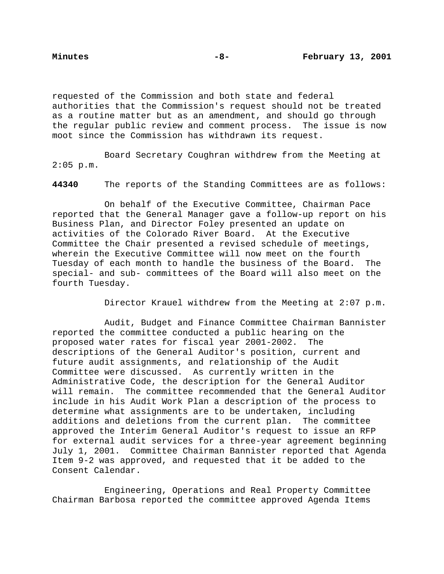requested of the Commission and both state and federal authorities that the Commission's request should not be treated as a routine matter but as an amendment, and should go through the regular public review and comment process. The issue is now moot since the Commission has withdrawn its request.

Board Secretary Coughran withdrew from the Meeting at  $2:05$  p.m.

**44340** The reports of the Standing Committees are as follows:

On behalf of the Executive Committee, Chairman Pace reported that the General Manager gave a follow-up report on his Business Plan, and Director Foley presented an update on activities of the Colorado River Board. At the Executive Committee the Chair presented a revised schedule of meetings, wherein the Executive Committee will now meet on the fourth Tuesday of each month to handle the business of the Board. The special- and sub- committees of the Board will also meet on the fourth Tuesday.

Director Krauel withdrew from the Meeting at 2:07 p.m.

Audit, Budget and Finance Committee Chairman Bannister reported the committee conducted a public hearing on the proposed water rates for fiscal year 2001-2002. The descriptions of the General Auditor's position, current and future audit assignments, and relationship of the Audit Committee were discussed. As currently written in the Administrative Code, the description for the General Auditor will remain. The committee recommended that the General Auditor include in his Audit Work Plan a description of the process to determine what assignments are to be undertaken, including additions and deletions from the current plan. The committee approved the Interim General Auditor's request to issue an RFP for external audit services for a three-year agreement beginning July 1, 2001. Committee Chairman Bannister reported that Agenda Item 9-2 was approved, and requested that it be added to the Consent Calendar.

Engineering, Operations and Real Property Committee Chairman Barbosa reported the committee approved Agenda Items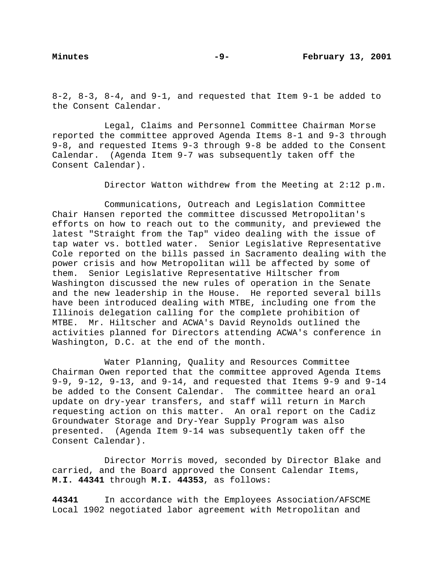$8-2$ ,  $8-3$ ,  $8-4$ , and  $9-1$ , and requested that Item  $9-1$  be added to the Consent Calendar.

Legal, Claims and Personnel Committee Chairman Morse reported the committee approved Agenda Items 8-1 and 9-3 through 9-8, and requested Items 9-3 through 9-8 be added to the Consent Calendar. (Agenda Item 9-7 was subsequently taken off the Consent Calendar).

Director Watton withdrew from the Meeting at 2:12 p.m.

Communications, Outreach and Legislation Committee Chair Hansen reported the committee discussed Metropolitan's efforts on how to reach out to the community, and previewed the latest "Straight from the Tap" video dealing with the issue of tap water vs. bottled water. Senior Legislative Representative Cole reported on the bills passed in Sacramento dealing with the power crisis and how Metropolitan will be affected by some of them. Senior Legislative Representative Hiltscher from Washington discussed the new rules of operation in the Senate and the new leadership in the House. He reported several bills have been introduced dealing with MTBE, including one from the Illinois delegation calling for the complete prohibition of MTBE. Mr. Hiltscher and ACWA's David Reynolds outlined the activities planned for Directors attending ACWA's conference in Washington, D.C. at the end of the month.

Water Planning, Quality and Resources Committee Chairman Owen reported that the committee approved Agenda Items 9-9, 9-12, 9-13, and 9-14, and requested that Items 9-9 and 9-14 be added to the Consent Calendar. The committee heard an oral update on dry-year transfers, and staff will return in March requesting action on this matter. An oral report on the Cadiz Groundwater Storage and Dry-Year Supply Program was also presented. (Agenda Item 9-14 was subsequently taken off the Consent Calendar).

Director Morris moved, seconded by Director Blake and carried, and the Board approved the Consent Calendar Items, **M.I. 44341** through **M.I. 44353**, as follows:

**44341** In accordance with the Employees Association/AFSCME Local 1902 negotiated labor agreement with Metropolitan and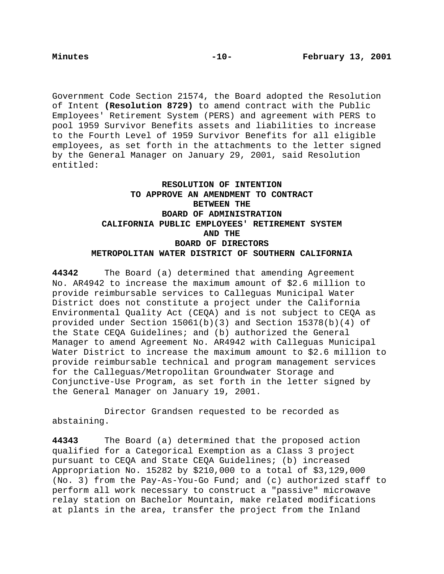Government Code Section 21574, the Board adopted the Resolution of Intent **(Resolution 8729)** to amend contract with the Public Employees' Retirement System (PERS) and agreement with PERS to pool 1959 Survivor Benefits assets and liabilities to increase to the Fourth Level of 1959 Survivor Benefits for all eligible employees, as set forth in the attachments to the letter signed by the General Manager on January 29, 2001, said Resolution entitled:

# **RESOLUTION OF INTENTION TO APPROVE AN AMENDMENT TO CONTRACT BETWEEN THE BOARD OF ADMINISTRATION CALIFORNIA PUBLIC EMPLOYEES' RETIREMENT SYSTEM AND THE BOARD OF DIRECTORS METROPOLITAN WATER DISTRICT OF SOUTHERN CALIFORNIA**

**44342** The Board (a) determined that amending Agreement No. AR4942 to increase the maximum amount of \$2.6 million to provide reimbursable services to Calleguas Municipal Water District does not constitute a project under the California Environmental Quality Act (CEQA) and is not subject to CEQA as provided under Section 15061(b)(3) and Section 15378(b)(4) of the State CEQA Guidelines; and (b) authorized the General Manager to amend Agreement No. AR4942 with Calleguas Municipal Water District to increase the maximum amount to \$2.6 million to provide reimbursable technical and program management services for the Calleguas/Metropolitan Groundwater Storage and Conjunctive-Use Program, as set forth in the letter signed by the General Manager on January 19, 2001.

Director Grandsen requested to be recorded as abstaining.

**44343** The Board (a) determined that the proposed action qualified for a Categorical Exemption as a Class 3 project pursuant to CEQA and State CEQA Guidelines; (b) increased Appropriation No. 15282 by \$210,000 to a total of \$3,129,000 (No. 3) from the Pay-As-You-Go Fund; and (c) authorized staff to perform all work necessary to construct a "passive" microwave relay station on Bachelor Mountain, make related modifications at plants in the area, transfer the project from the Inland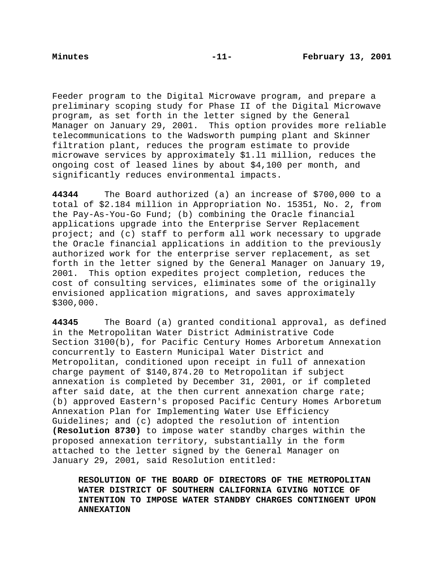Feeder program to the Digital Microwave program, and prepare a preliminary scoping study for Phase II of the Digital Microwave program, as set forth in the letter signed by the General Manager on January 29, 2001. This option provides more reliable telecommunications to the Wadsworth pumping plant and Skinner filtration plant, reduces the program estimate to provide microwave services by approximately \$1.l1 million, reduces the ongoing cost of leased lines by about \$4,100 per month, and significantly reduces environmental impacts.

**44344** The Board authorized (a) an increase of \$700,000 to a total of \$2.184 million in Appropriation No. 15351, No. 2, from the Pay-As-You-Go Fund; (b) combining the Oracle financial applications upgrade into the Enterprise Server Replacement project; and (c) staff to perform all work necessary to upgrade the Oracle financial applications in addition to the previously authorized work for the enterprise server replacement, as set forth in the letter signed by the General Manager on January 19, 2001. This option expedites project completion, reduces the cost of consulting services, eliminates some of the originally envisioned application migrations, and saves approximately \$300,000.

**44345** The Board (a) granted conditional approval, as defined in the Metropolitan Water District Administrative Code Section 3100(b), for Pacific Century Homes Arboretum Annexation concurrently to Eastern Municipal Water District and Metropolitan, conditioned upon receipt in full of annexation charge payment of \$140,874.20 to Metropolitan if subject annexation is completed by December 31, 2001, or if completed after said date, at the then current annexation charge rate; (b) approved Eastern's proposed Pacific Century Homes Arboretum Annexation Plan for Implementing Water Use Efficiency Guidelines; and (c) adopted the resolution of intention **(Resolution 8730)** to impose water standby charges within the proposed annexation territory, substantially in the form attached to the letter signed by the General Manager on January 29, 2001, said Resolution entitled:

**RESOLUTION OF THE BOARD OF DIRECTORS OF THE METROPOLITAN WATER DISTRICT OF SOUTHERN CALIFORNIA GIVING NOTICE OF INTENTION TO IMPOSE WATER STANDBY CHARGES CONTINGENT UPON ANNEXATION**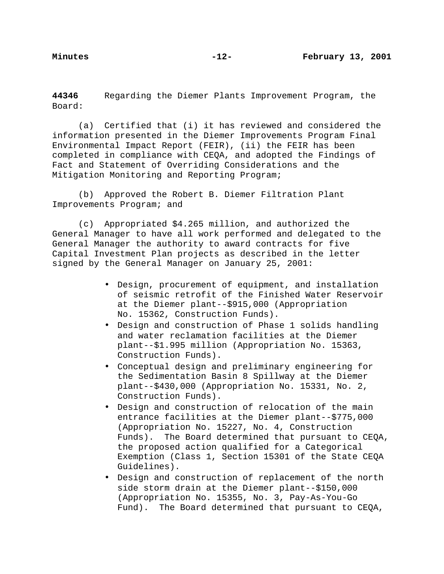**44346** Regarding the Diemer Plants Improvement Program, the Board:

(a) Certified that (i) it has reviewed and considered the information presented in the Diemer Improvements Program Final Environmental Impact Report (FEIR), (ii) the FEIR has been completed in compliance with CEQA, and adopted the Findings of Fact and Statement of Overriding Considerations and the Mitigation Monitoring and Reporting Program;

(b) Approved the Robert B. Diemer Filtration Plant Improvements Program; and

(c) Appropriated \$4.265 million, and authorized the General Manager to have all work performed and delegated to the General Manager the authority to award contracts for five Capital Investment Plan projects as described in the letter signed by the General Manager on January 25, 2001:

- Design, procurement of equipment, and installation of seismic retrofit of the Finished Water Reservoir at the Diemer plant--\$915,000 (Appropriation No. 15362, Construction Funds).
- Design and construction of Phase 1 solids handling and water reclamation facilities at the Diemer plant--\$1.995 million (Appropriation No. 15363, Construction Funds).
- Conceptual design and preliminary engineering for the Sedimentation Basin 8 Spillway at the Diemer plant--\$430,000 (Appropriation No. 15331, No. 2, Construction Funds).
- Design and construction of relocation of the main entrance facilities at the Diemer plant--\$775,000 (Appropriation No. 15227, No. 4, Construction Funds). The Board determined that pursuant to CEQA, the proposed action qualified for a Categorical Exemption (Class 1, Section 15301 of the State CEQA Guidelines).
- Design and construction of replacement of the north side storm drain at the Diemer plant--\$150,000 (Appropriation No. 15355, No. 3, Pay-As-You-Go Fund). The Board determined that pursuant to CEQA,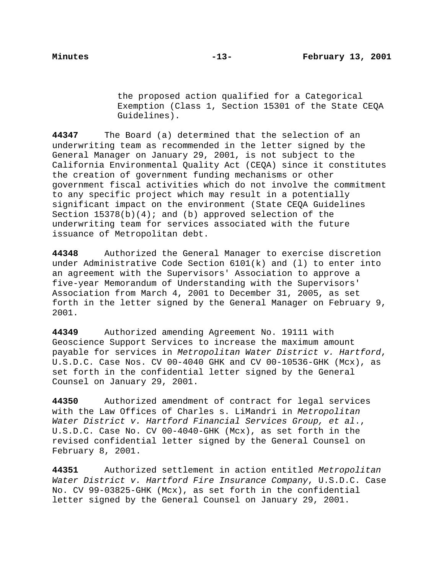the proposed action qualified for a Categorical Exemption (Class 1, Section 15301 of the State CEQA Guidelines).

**44347** The Board (a) determined that the selection of an underwriting team as recommended in the letter signed by the General Manager on January 29, 2001, is not subject to the California Environmental Quality Act (CEQA) since it constitutes the creation of government funding mechanisms or other government fiscal activities which do not involve the commitment to any specific project which may result in a potentially significant impact on the environment (State CEQA Guidelines Section  $15378(b)(4)$ ; and (b) approved selection of the underwriting team for services associated with the future issuance of Metropolitan debt.

**44348** Authorized the General Manager to exercise discretion under Administrative Code Section 6101(k) and (l) to enter into an agreement with the Supervisors' Association to approve a five-year Memorandum of Understanding with the Supervisors' Association from March 4, 2001 to December 31, 2005, as set forth in the letter signed by the General Manager on February 9, 2001.

**44349** Authorized amending Agreement No. 19111 with Geoscience Support Services to increase the maximum amount payable for services in Metropolitan Water District v. Hartford, U.S.D.C. Case Nos. CV 00-4040 GHK and CV 00-10536-GHK (Mcx), as set forth in the confidential letter signed by the General Counsel on January 29, 2001.

**44350** Authorized amendment of contract for legal services with the Law Offices of Charles s. LiMandri in Metropolitan Water District v. Hartford Financial Services Group, et al., U.S.D.C. Case No. CV 00-4040-GHK (Mcx), as set forth in the revised confidential letter signed by the General Counsel on February 8, 2001.

**44351** Authorized settlement in action entitled Metropolitan Water District v. Hartford Fire Insurance Company, U.S.D.C. Case No. CV 99-03825-GHK (Mcx), as set forth in the confidential letter signed by the General Counsel on January 29, 2001.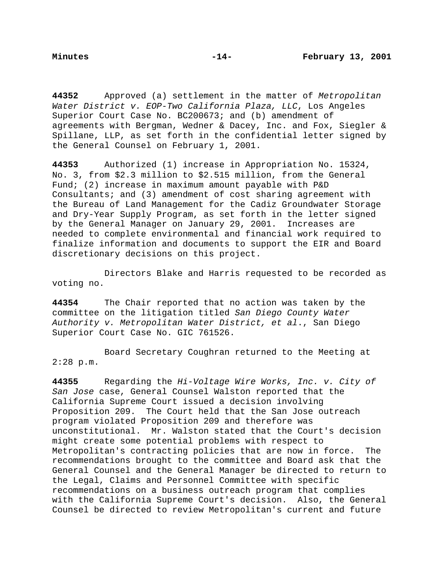**44352** Approved (a) settlement in the matter of Metropolitan Water District v. EOP-Two California Plaza, LLC, Los Angeles Superior Court Case No. BC200673; and (b) amendment of agreements with Bergman, Wedner & Dacey, Inc. and Fox, Siegler & Spillane, LLP, as set forth in the confidential letter signed by the General Counsel on February 1, 2001.

**44353** Authorized (1) increase in Appropriation No. 15324, No. 3, from \$2.3 million to \$2.515 million, from the General Fund; (2) increase in maximum amount payable with P&D Consultants; and (3) amendment of cost sharing agreement with the Bureau of Land Management for the Cadiz Groundwater Storage and Dry-Year Supply Program, as set forth in the letter signed by the General Manager on January 29, 2001. Increases are needed to complete environmental and financial work required to finalize information and documents to support the EIR and Board discretionary decisions on this project.

Directors Blake and Harris requested to be recorded as voting no.

**44354** The Chair reported that no action was taken by the committee on the litigation titled San Diego County Water Authority v. Metropolitan Water District, et al., San Diego Superior Court Case No. GIC 761526.

Board Secretary Coughran returned to the Meeting at 2:28 p.m.

**44355** Regarding the Hi-Voltage Wire Works, Inc. v. City of San Jose case, General Counsel Walston reported that the California Supreme Court issued a decision involving Proposition 209. The Court held that the San Jose outreach program violated Proposition 209 and therefore was unconstitutional. Mr. Walston stated that the Court's decision might create some potential problems with respect to Metropolitan's contracting policies that are now in force. The recommendations brought to the committee and Board ask that the General Counsel and the General Manager be directed to return to the Legal, Claims and Personnel Committee with specific recommendations on a business outreach program that complies with the California Supreme Court's decision. Also, the General Counsel be directed to review Metropolitan's current and future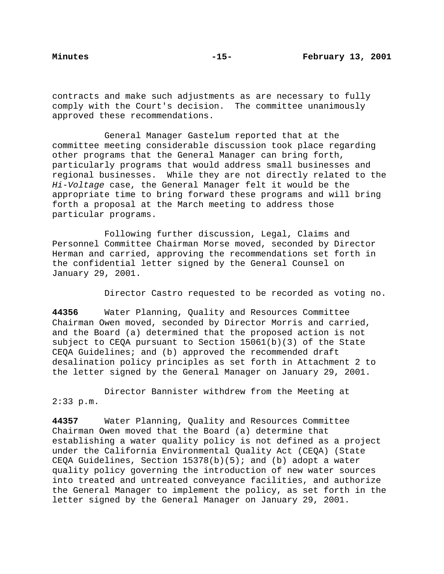contracts and make such adjustments as are necessary to fully comply with the Court's decision. The committee unanimously approved these recommendations.

General Manager Gastelum reported that at the committee meeting considerable discussion took place regarding other programs that the General Manager can bring forth, particularly programs that would address small businesses and regional businesses. While they are not directly related to the Hi-Voltage case, the General Manager felt it would be the appropriate time to bring forward these programs and will bring forth a proposal at the March meeting to address those particular programs.

Following further discussion, Legal, Claims and Personnel Committee Chairman Morse moved, seconded by Director Herman and carried, approving the recommendations set forth in the confidential letter signed by the General Counsel on January 29, 2001.

Director Castro requested to be recorded as voting no.

**44356** Water Planning, Quality and Resources Committee Chairman Owen moved, seconded by Director Morris and carried, and the Board (a) determined that the proposed action is not subject to CEQA pursuant to Section 15061(b)(3) of the State CEQA Guidelines; and (b) approved the recommended draft desalination policy principles as set forth in Attachment 2 to the letter signed by the General Manager on January 29, 2001.

Director Bannister withdrew from the Meeting at 2:33 p.m.

**44357** Water Planning, Quality and Resources Committee Chairman Owen moved that the Board (a) determine that establishing a water quality policy is not defined as a project under the California Environmental Quality Act (CEQA) (State CEQA Guidelines, Section 15378(b)(5); and (b) adopt a water quality policy governing the introduction of new water sources into treated and untreated conveyance facilities, and authorize the General Manager to implement the policy, as set forth in the letter signed by the General Manager on January 29, 2001.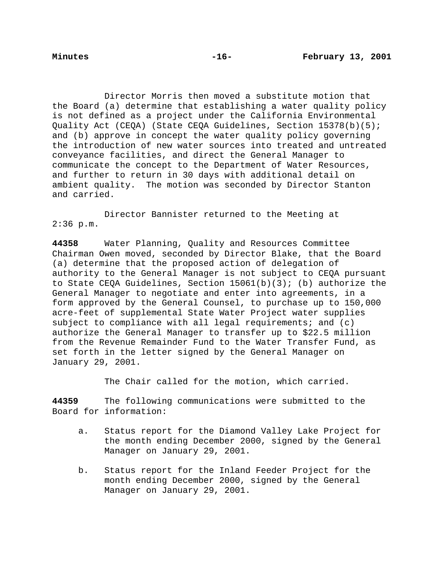Director Morris then moved a substitute motion that the Board (a) determine that establishing a water quality policy is not defined as a project under the California Environmental Quality Act (CEQA) (State CEQA Guidelines, Section 15378(b)(5); and (b) approve in concept the water quality policy governing the introduction of new water sources into treated and untreated conveyance facilities, and direct the General Manager to communicate the concept to the Department of Water Resources, and further to return in 30 days with additional detail on ambient quality. The motion was seconded by Director Stanton and carried.

Director Bannister returned to the Meeting at  $2:36$  p.m.

**44358** Water Planning, Quality and Resources Committee Chairman Owen moved, seconded by Director Blake, that the Board (a) determine that the proposed action of delegation of authority to the General Manager is not subject to CEQA pursuant to State CEQA Guidelines, Section 15061(b)(3); (b) authorize the General Manager to negotiate and enter into agreements, in a form approved by the General Counsel, to purchase up to 150,000 acre-feet of supplemental State Water Project water supplies subject to compliance with all legal requirements; and (c) authorize the General Manager to transfer up to \$22.5 million from the Revenue Remainder Fund to the Water Transfer Fund, as set forth in the letter signed by the General Manager on January 29, 2001.

The Chair called for the motion, which carried.

**44359** The following communications were submitted to the Board for information:

- a. Status report for the Diamond Valley Lake Project for the month ending December 2000, signed by the General Manager on January 29, 2001.
- b. Status report for the Inland Feeder Project for the month ending December 2000, signed by the General Manager on January 29, 2001.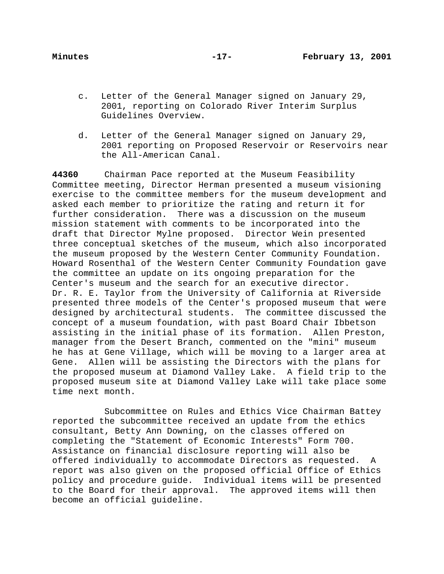- c. Letter of the General Manager signed on January 29, 2001, reporting on Colorado River Interim Surplus Guidelines Overview.
- d. Letter of the General Manager signed on January 29, 2001 reporting on Proposed Reservoir or Reservoirs near the All-American Canal.

**44360** Chairman Pace reported at the Museum Feasibility Committee meeting, Director Herman presented a museum visioning exercise to the committee members for the museum development and asked each member to prioritize the rating and return it for further consideration. There was a discussion on the museum mission statement with comments to be incorporated into the draft that Director Mylne proposed. Director Wein presented three conceptual sketches of the museum, which also incorporated the museum proposed by the Western Center Community Foundation. Howard Rosenthal of the Western Center Community Foundation gave the committee an update on its ongoing preparation for the Center's museum and the search for an executive director. Dr. R. E. Taylor from the University of California at Riverside presented three models of the Center's proposed museum that were designed by architectural students. The committee discussed the concept of a museum foundation, with past Board Chair Ibbetson assisting in the initial phase of its formation. Allen Preston, manager from the Desert Branch, commented on the "mini" museum he has at Gene Village, which will be moving to a larger area at Gene. Allen will be assisting the Directors with the plans for the proposed museum at Diamond Valley Lake. A field trip to the proposed museum site at Diamond Valley Lake will take place some time next month.

Subcommittee on Rules and Ethics Vice Chairman Battey reported the subcommittee received an update from the ethics consultant, Betty Ann Downing, on the classes offered on completing the "Statement of Economic Interests" Form 700. Assistance on financial disclosure reporting will also be offered individually to accommodate Directors as requested. A report was also given on the proposed official Office of Ethics policy and procedure guide. Individual items will be presented to the Board for their approval. The approved items will then become an official guideline.